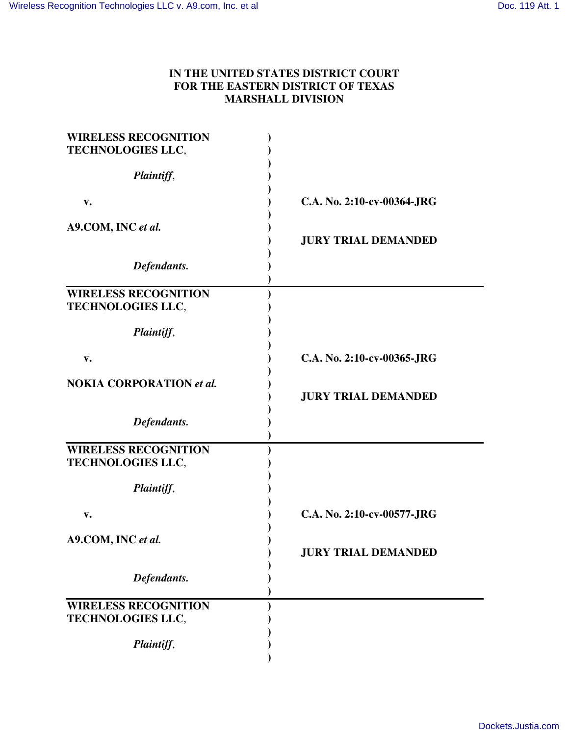## **IN THE UNITED STATES DISTRICT COURT FOR THE EASTERN DISTRICT OF TEXAS MARSHALL DIVISION**

| <b>WIRELESS RECOGNITION</b><br>TECHNOLOGIES LLC,        |                            |
|---------------------------------------------------------|----------------------------|
| Plaintiff,                                              |                            |
| $V_{\bullet}$                                           | C.A. No. 2:10-cv-00364-JRG |
| A9.COM, INC et al.                                      | <b>JURY TRIAL DEMANDED</b> |
| Defendants.                                             |                            |
| <b>WIRELESS RECOGNITION</b><br><b>TECHNOLOGIES LLC,</b> |                            |
| Plaintiff,                                              |                            |
| V.                                                      | C.A. No. 2:10-cv-00365-JRG |
| <b>NOKIA CORPORATION et al.</b>                         | <b>JURY TRIAL DEMANDED</b> |
| Defendants.                                             |                            |
| <b>WIRELESS RECOGNITION</b><br><b>TECHNOLOGIES LLC,</b> |                            |
| Plaintiff,                                              |                            |
| v.                                                      | C.A. No. 2:10-cv-00577-JRG |
| A9.COM, INC et al.                                      | <b>JURY TRIAL DEMANDED</b> |
| Defendants.                                             |                            |
| <b>WIRELESS RECOGNITION</b><br><b>TECHNOLOGIES LLC,</b> |                            |
| Plaintiff,                                              |                            |